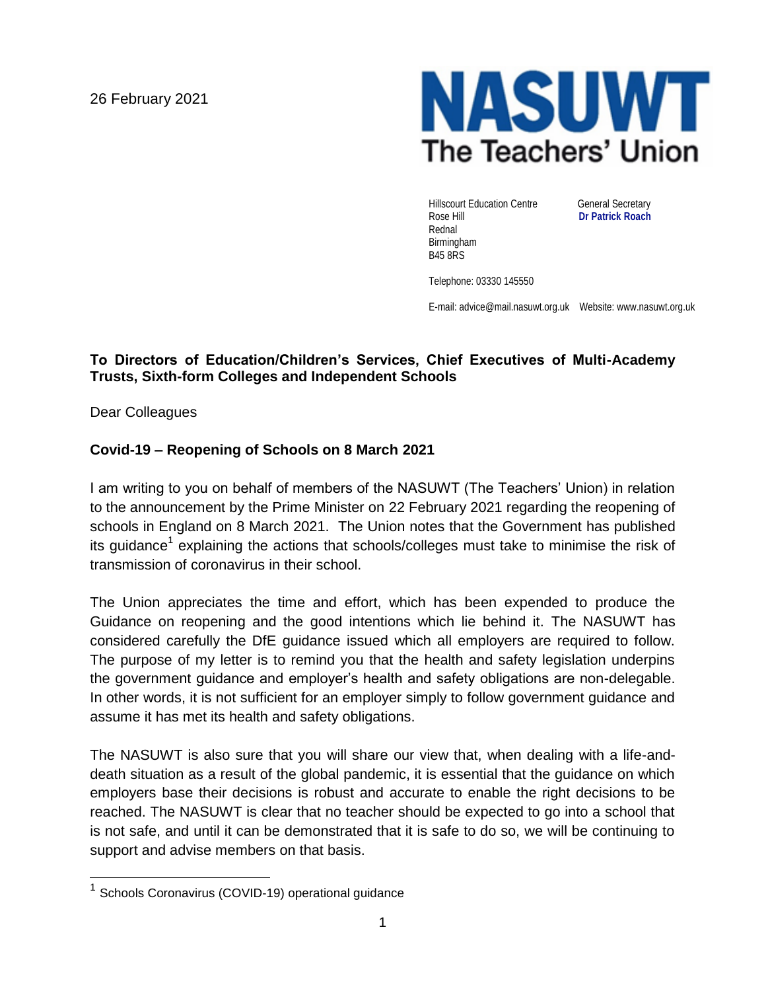26 February 2021



Hillscourt Education Centre **General Secretary** Rose Hill **Dr Patrick Roach** Rednal Birmingham B45 8RS

Telephone: 03330 145550

E-mail: advice@mail.nasuwt.org.uk Website: www.nasuwt.org.uk

## **To Directors of Education/Children's Services, Chief Executives of Multi-Academy Trusts, Sixth-form Colleges and Independent Schools**

Dear Colleagues

## **Covid-19 – Reopening of Schools on 8 March 2021**

I am writing to you on behalf of members of the NASUWT (The Teachers' Union) in relation to the announcement by the Prime Minister on 22 February 2021 regarding the reopening of schools in England on 8 March 2021. The Union notes that the Government has published its guidance<sup>1</sup> explaining the actions that schools/colleges must take to minimise the risk of transmission of coronavirus in their school.

The Union appreciates the time and effort, which has been expended to produce the Guidance on reopening and the good intentions which lie behind it. The NASUWT has considered carefully the DfE guidance issued which all employers are required to follow. The purpose of my letter is to remind you that the health and safety legislation underpins the government guidance and employer's health and safety obligations are non-delegable. In other words, it is not sufficient for an employer simply to follow government guidance and assume it has met its health and safety obligations.

The NASUWT is also sure that you will share our view that, when dealing with a life-anddeath situation as a result of the global pandemic, it is essential that the guidance on which employers base their decisions is robust and accurate to enable the right decisions to be reached. The NASUWT is clear that no teacher should be expected to go into a school that is not safe, and until it can be demonstrated that it is safe to do so, we will be continuing to support and advise members on that basis.

<sup>&</sup>lt;sup>1</sup> Schools Coronavirus (COVID-19) operational guidance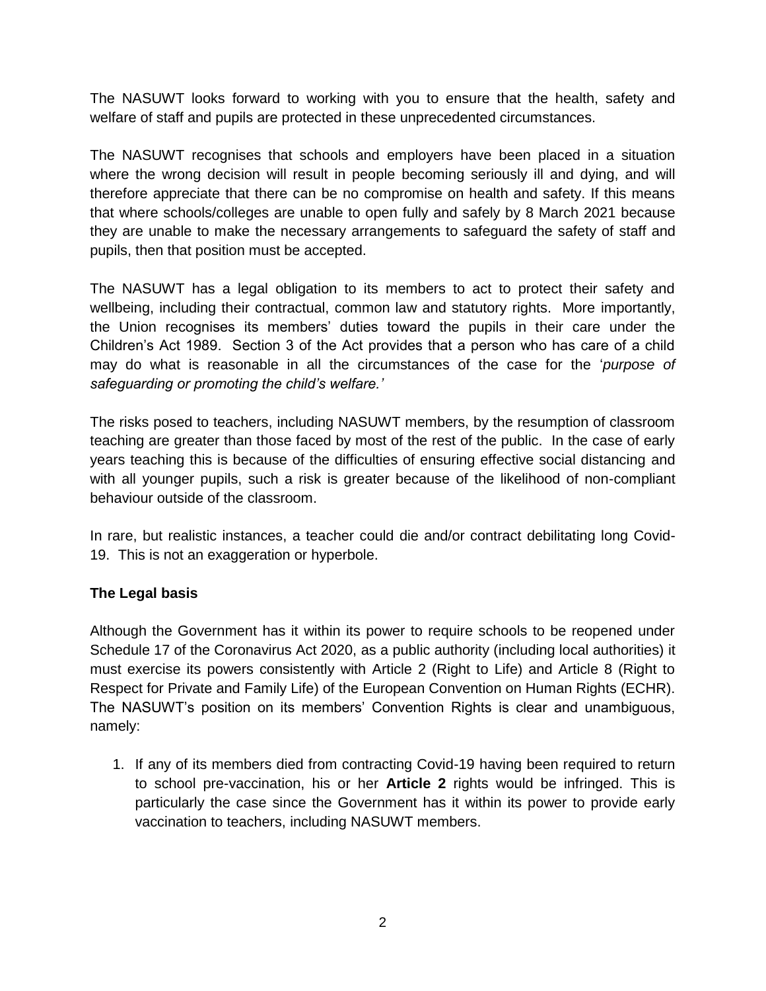The NASUWT looks forward to working with you to ensure that the health, safety and welfare of staff and pupils are protected in these unprecedented circumstances.

The NASUWT recognises that schools and employers have been placed in a situation where the wrong decision will result in people becoming seriously ill and dying, and will therefore appreciate that there can be no compromise on health and safety. If this means that where schools/colleges are unable to open fully and safely by 8 March 2021 because they are unable to make the necessary arrangements to safeguard the safety of staff and pupils, then that position must be accepted.

The NASUWT has a legal obligation to its members to act to protect their safety and wellbeing, including their contractual, common law and statutory rights. More importantly, the Union recognises its members' duties toward the pupils in their care under the Children's Act 1989. Section 3 of the Act provides that a person who has care of a child may do what is reasonable in all the circumstances of the case for the '*purpose of safeguarding or promoting the child's welfare.'* 

The risks posed to teachers, including NASUWT members, by the resumption of classroom teaching are greater than those faced by most of the rest of the public. In the case of early years teaching this is because of the difficulties of ensuring effective social distancing and with all younger pupils, such a risk is greater because of the likelihood of non-compliant behaviour outside of the classroom.

In rare, but realistic instances, a teacher could die and/or contract debilitating long Covid-19. This is not an exaggeration or hyperbole.

## **The Legal basis**

Although the Government has it within its power to require schools to be reopened under Schedule 17 of the Coronavirus Act 2020, as a public authority (including local authorities) it must exercise its powers consistently with Article 2 (Right to Life) and Article 8 (Right to Respect for Private and Family Life) of the European Convention on Human Rights (ECHR). The NASUWT's position on its members' Convention Rights is clear and unambiguous, namely:

1. If any of its members died from contracting Covid-19 having been required to return to school pre-vaccination, his or her **Article 2** rights would be infringed. This is particularly the case since the Government has it within its power to provide early vaccination to teachers, including NASUWT members.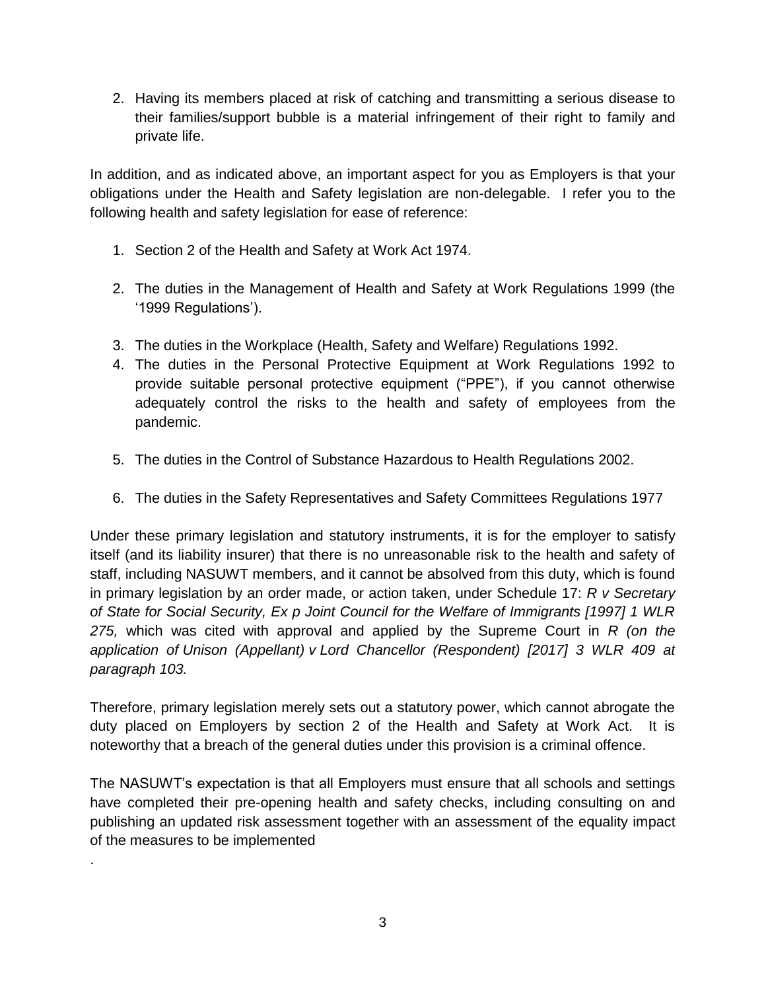2. Having its members placed at risk of catching and transmitting a serious disease to their families/support bubble is a material infringement of their right to family and private life.

In addition, and as indicated above, an important aspect for you as Employers is that your obligations under the Health and Safety legislation are non-delegable. I refer you to the following health and safety legislation for ease of reference:

- 1. Section 2 of the Health and Safety at Work Act 1974.
- 2. The duties in the Management of Health and Safety at Work Regulations 1999 (the '1999 Regulations').
- 3. The duties in the Workplace (Health, Safety and Welfare) Regulations 1992.
- 4. The duties in the Personal Protective Equipment at Work Regulations 1992 to provide suitable personal protective equipment ("PPE"), if you cannot otherwise adequately control the risks to the health and safety of employees from the pandemic.
- 5. The duties in the Control of Substance Hazardous to Health Regulations 2002.
- 6. The duties in the Safety Representatives and Safety Committees Regulations 1977

Under these primary legislation and statutory instruments, it is for the employer to satisfy itself (and its liability insurer) that there is no unreasonable risk to the health and safety of staff, including NASUWT members, and it cannot be absolved from this duty, which is found in primary legislation by an order made, or action taken, under Schedule 17: *R v Secretary of State for Social Security, Ex p Joint Council for the Welfare of Immigrants [1997] 1 WLR 275,* which was cited with approval and applied by the Supreme Court in *R (on the application of Unison (Appellant) v Lord Chancellor (Respondent) [2017] 3 WLR 409 at paragraph 103.*

Therefore, primary legislation merely sets out a statutory power, which cannot abrogate the duty placed on Employers by section 2 of the Health and Safety at Work Act. It is noteworthy that a breach of the general duties under this provision is a criminal offence.

The NASUWT's expectation is that all Employers must ensure that all schools and settings have completed their pre-opening health and safety checks, including consulting on and publishing an updated risk assessment together with an assessment of the equality impact of the measures to be implemented

.